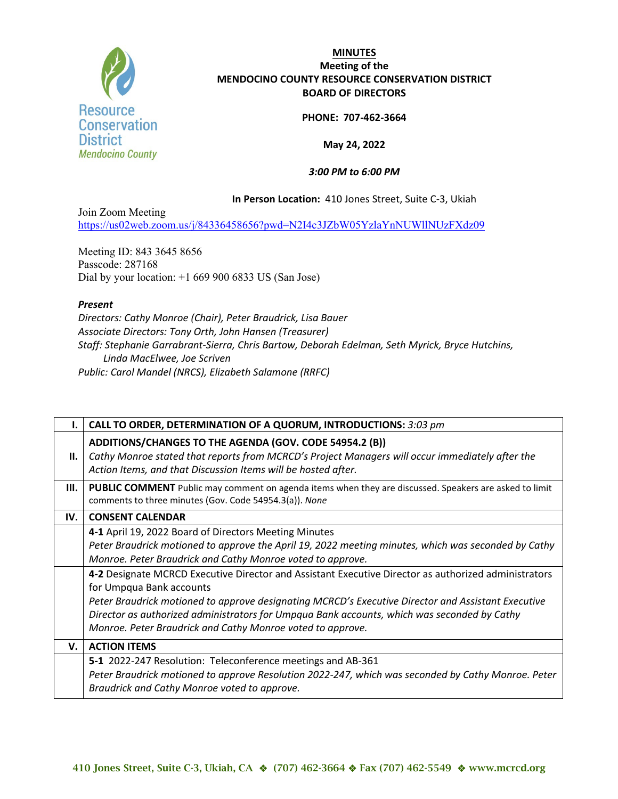

# **MINUTES Meeting of the MENDOCINO COUNTY RESOURCE CONSERVATION DISTRICT BOARD OF DIRECTORS**

#### **PHONE: 707-462-3664**

## **May 24, 2022**

# *3:00 PM to 6:00 PM*

## **In Person Location:** 410 Jones Street, Suite C-3, Ukiah

Join Zoom Meeting <https://us02web.zoom.us/j/84336458656?pwd=N2I4c3JZbW05YzlaYnNUWllNUzFXdz09>

Meeting ID: 843 3645 8656 Passcode: 287168 Dial by your location: +1 669 900 6833 US (San Jose)

#### *Present*

*Directors: Cathy Monroe (Chair), Peter Braudrick, Lisa Bauer Associate Directors: Tony Orth, John Hansen (Treasurer) Staff: Stephanie Garrabrant-Sierra, Chris Bartow, Deborah Edelman, Seth Myrick, Bryce Hutchins, Linda MacElwee, Joe Scriven Public: Carol Mandel (NRCS), Elizabeth Salamone (RRFC)*

|     | CALL TO ORDER, DETERMINATION OF A QUORUM, INTRODUCTIONS: 3:03 pm                                                                                                                                                                                                                                                                                                                                                                                                                                                                                                                                                                  |
|-----|-----------------------------------------------------------------------------------------------------------------------------------------------------------------------------------------------------------------------------------------------------------------------------------------------------------------------------------------------------------------------------------------------------------------------------------------------------------------------------------------------------------------------------------------------------------------------------------------------------------------------------------|
| II. | ADDITIONS/CHANGES TO THE AGENDA (GOV. CODE 54954.2 (B))<br>Cathy Monroe stated that reports from MCRCD's Project Managers will occur immediately after the<br>Action Items, and that Discussion Items will be hosted after.                                                                                                                                                                                                                                                                                                                                                                                                       |
| Ш.  | <b>PUBLIC COMMENT</b> Public may comment on agenda items when they are discussed. Speakers are asked to limit<br>comments to three minutes (Gov. Code 54954.3(a)). None                                                                                                                                                                                                                                                                                                                                                                                                                                                           |
| IV. | <b>CONSENT CALENDAR</b>                                                                                                                                                                                                                                                                                                                                                                                                                                                                                                                                                                                                           |
|     | 4-1 April 19, 2022 Board of Directors Meeting Minutes<br>Peter Braudrick motioned to approve the April 19, 2022 meeting minutes, which was seconded by Cathy<br>Monroe. Peter Braudrick and Cathy Monroe voted to approve.<br>4-2 Designate MCRCD Executive Director and Assistant Executive Director as authorized administrators<br>for Umpqua Bank accounts<br>Peter Braudrick motioned to approve designating MCRCD's Executive Director and Assistant Executive<br>Director as authorized administrators for Umpqua Bank accounts, which was seconded by Cathy<br>Monroe. Peter Braudrick and Cathy Monroe voted to approve. |
| V.  | <b>ACTION ITEMS</b>                                                                                                                                                                                                                                                                                                                                                                                                                                                                                                                                                                                                               |
|     | 5-1 2022-247 Resolution: Teleconference meetings and AB-361<br>Peter Braudrick motioned to approve Resolution 2022-247, which was seconded by Cathy Monroe. Peter<br>Braudrick and Cathy Monroe voted to approve.                                                                                                                                                                                                                                                                                                                                                                                                                 |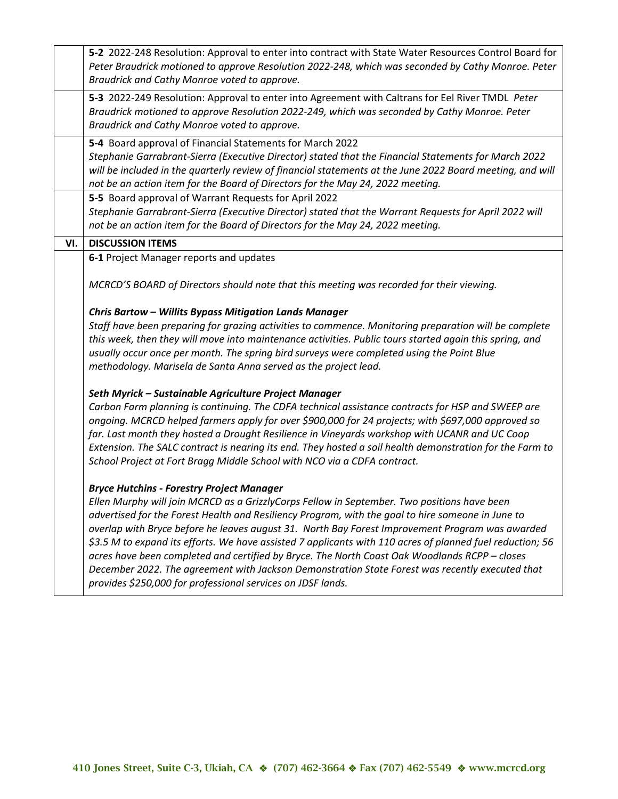|     | 5-2 2022-248 Resolution: Approval to enter into contract with State Water Resources Control Board for     |
|-----|-----------------------------------------------------------------------------------------------------------|
|     | Peter Braudrick motioned to approve Resolution 2022-248, which was seconded by Cathy Monroe. Peter        |
|     | Braudrick and Cathy Monroe voted to approve.                                                              |
|     | 5-3 2022-249 Resolution: Approval to enter into Agreement with Caltrans for Eel River TMDL Peter          |
|     | Braudrick motioned to approve Resolution 2022-249, which was seconded by Cathy Monroe. Peter              |
|     |                                                                                                           |
|     | Braudrick and Cathy Monroe voted to approve.                                                              |
|     | 5-4 Board approval of Financial Statements for March 2022                                                 |
|     | Stephanie Garrabrant-Sierra (Executive Director) stated that the Financial Statements for March 2022      |
|     | will be included in the quarterly review of financial statements at the June 2022 Board meeting, and will |
|     | not be an action item for the Board of Directors for the May 24, 2022 meeting.                            |
|     |                                                                                                           |
|     | 5-5 Board approval of Warrant Requests for April 2022                                                     |
|     | Stephanie Garrabrant-Sierra (Executive Director) stated that the Warrant Requests for April 2022 will     |
|     | not be an action item for the Board of Directors for the May 24, 2022 meeting.                            |
| VI. | <b>DISCUSSION ITEMS</b>                                                                                   |
|     | 6-1 Project Manager reports and updates                                                                   |
|     |                                                                                                           |
|     | MCRCD'S BOARD of Directors should note that this meeting was recorded for their viewing.                  |
|     |                                                                                                           |
|     | Chris Bartow - Willits Bypass Mitigation Lands Manager                                                    |
|     | Staff have been preparing for grazing activities to commence. Monitoring preparation will be complete     |
|     |                                                                                                           |
|     | this week, then they will move into maintenance activities. Public tours started again this spring, and   |
|     | usually occur once per month. The spring bird surveys were completed using the Point Blue                 |
|     | methodology. Marisela de Santa Anna served as the project lead.                                           |
|     |                                                                                                           |
|     | Seth Myrick - Sustainable Agriculture Project Manager                                                     |
|     | Carbon Farm planning is continuing. The CDFA technical assistance contracts for HSP and SWEEP are         |
|     | ongoing. MCRCD helped farmers apply for over \$900,000 for 24 projects; with \$697,000 approved so        |
|     | far. Last month they hosted a Drought Resilience in Vineyards workshop with UCANR and UC Coop             |
|     | Extension. The SALC contract is nearing its end. They hosted a soil health demonstration for the Farm to  |
|     | School Project at Fort Bragg Middle School with NCO via a CDFA contract.                                  |
|     |                                                                                                           |
|     | <b>Bryce Hutchins - Forestry Project Manager</b>                                                          |
|     | Ellen Murphy will join MCRCD as a GrizzlyCorps Fellow in September. Two positions have been               |
|     | advertised for the Forest Health and Resiliency Program, with the goal to hire someone in June to         |
|     | overlap with Bryce before he leaves august 31. North Bay Forest Improvement Program was awarded           |
|     |                                                                                                           |
|     | \$3.5 M to expand its efforts. We have assisted 7 applicants with 110 acres of planned fuel reduction; 56 |
|     | acres have been completed and certified by Bryce. The North Coast Oak Woodlands RCPP - closes             |
|     | December 2022. The agreement with Jackson Demonstration State Forest was recently executed that           |
|     | provides \$250,000 for professional services on JDSF lands.                                               |
|     |                                                                                                           |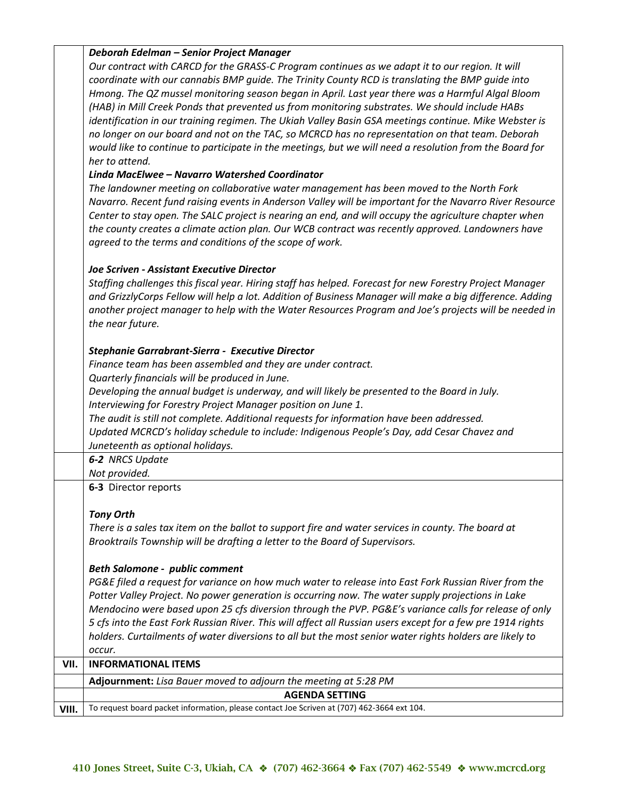| Our contract with CARCD for the GRASS-C Program continues as we adapt it to our region. It will<br>coordinate with our cannabis BMP quide. The Trinity County RCD is translating the BMP quide into<br>Hmong. The QZ mussel monitoring season began in April. Last year there was a Harmful Algal Bloom<br>(HAB) in Mill Creek Ponds that prevented us from monitoring substrates. We should include HABs<br>identification in our training regimen. The Ukiah Valley Basin GSA meetings continue. Mike Webster is<br>no longer on our board and not on the TAC, so MCRCD has no representation on that team. Deborah<br>would like to continue to participate in the meetings, but we will need a resolution from the Board for<br>her to attend.<br>Linda MacElwee - Navarro Watershed Coordinator<br>The landowner meeting on collaborative water management has been moved to the North Fork<br>Navarro. Recent fund raising events in Anderson Valley will be important for the Navarro River Resource<br>Center to stay open. The SALC project is nearing an end, and will occupy the agriculture chapter when<br>the county creates a climate action plan. Our WCB contract was recently approved. Landowners have<br>agreed to the terms and conditions of the scope of work.<br><b>Joe Scriven - Assistant Executive Director</b><br>Staffing challenges this fiscal year. Hiring staff has helped. Forecast for new Forestry Project Manager<br>and GrizzlyCorps Fellow will help a lot. Addition of Business Manager will make a big difference. Adding<br>another project manager to help with the Water Resources Program and Joe's projects will be needed in<br>the near future.<br>Stephanie Garrabrant-Sierra - Executive Director |  |
|-----------------------------------------------------------------------------------------------------------------------------------------------------------------------------------------------------------------------------------------------------------------------------------------------------------------------------------------------------------------------------------------------------------------------------------------------------------------------------------------------------------------------------------------------------------------------------------------------------------------------------------------------------------------------------------------------------------------------------------------------------------------------------------------------------------------------------------------------------------------------------------------------------------------------------------------------------------------------------------------------------------------------------------------------------------------------------------------------------------------------------------------------------------------------------------------------------------------------------------------------------------------------------------------------------------------------------------------------------------------------------------------------------------------------------------------------------------------------------------------------------------------------------------------------------------------------------------------------------------------------------------------------------------------------------------------------------------------------------------------------------|--|
|                                                                                                                                                                                                                                                                                                                                                                                                                                                                                                                                                                                                                                                                                                                                                                                                                                                                                                                                                                                                                                                                                                                                                                                                                                                                                                                                                                                                                                                                                                                                                                                                                                                                                                                                                     |  |
|                                                                                                                                                                                                                                                                                                                                                                                                                                                                                                                                                                                                                                                                                                                                                                                                                                                                                                                                                                                                                                                                                                                                                                                                                                                                                                                                                                                                                                                                                                                                                                                                                                                                                                                                                     |  |
|                                                                                                                                                                                                                                                                                                                                                                                                                                                                                                                                                                                                                                                                                                                                                                                                                                                                                                                                                                                                                                                                                                                                                                                                                                                                                                                                                                                                                                                                                                                                                                                                                                                                                                                                                     |  |
|                                                                                                                                                                                                                                                                                                                                                                                                                                                                                                                                                                                                                                                                                                                                                                                                                                                                                                                                                                                                                                                                                                                                                                                                                                                                                                                                                                                                                                                                                                                                                                                                                                                                                                                                                     |  |
|                                                                                                                                                                                                                                                                                                                                                                                                                                                                                                                                                                                                                                                                                                                                                                                                                                                                                                                                                                                                                                                                                                                                                                                                                                                                                                                                                                                                                                                                                                                                                                                                                                                                                                                                                     |  |
|                                                                                                                                                                                                                                                                                                                                                                                                                                                                                                                                                                                                                                                                                                                                                                                                                                                                                                                                                                                                                                                                                                                                                                                                                                                                                                                                                                                                                                                                                                                                                                                                                                                                                                                                                     |  |
|                                                                                                                                                                                                                                                                                                                                                                                                                                                                                                                                                                                                                                                                                                                                                                                                                                                                                                                                                                                                                                                                                                                                                                                                                                                                                                                                                                                                                                                                                                                                                                                                                                                                                                                                                     |  |
|                                                                                                                                                                                                                                                                                                                                                                                                                                                                                                                                                                                                                                                                                                                                                                                                                                                                                                                                                                                                                                                                                                                                                                                                                                                                                                                                                                                                                                                                                                                                                                                                                                                                                                                                                     |  |
|                                                                                                                                                                                                                                                                                                                                                                                                                                                                                                                                                                                                                                                                                                                                                                                                                                                                                                                                                                                                                                                                                                                                                                                                                                                                                                                                                                                                                                                                                                                                                                                                                                                                                                                                                     |  |
|                                                                                                                                                                                                                                                                                                                                                                                                                                                                                                                                                                                                                                                                                                                                                                                                                                                                                                                                                                                                                                                                                                                                                                                                                                                                                                                                                                                                                                                                                                                                                                                                                                                                                                                                                     |  |
|                                                                                                                                                                                                                                                                                                                                                                                                                                                                                                                                                                                                                                                                                                                                                                                                                                                                                                                                                                                                                                                                                                                                                                                                                                                                                                                                                                                                                                                                                                                                                                                                                                                                                                                                                     |  |
|                                                                                                                                                                                                                                                                                                                                                                                                                                                                                                                                                                                                                                                                                                                                                                                                                                                                                                                                                                                                                                                                                                                                                                                                                                                                                                                                                                                                                                                                                                                                                                                                                                                                                                                                                     |  |
|                                                                                                                                                                                                                                                                                                                                                                                                                                                                                                                                                                                                                                                                                                                                                                                                                                                                                                                                                                                                                                                                                                                                                                                                                                                                                                                                                                                                                                                                                                                                                                                                                                                                                                                                                     |  |
|                                                                                                                                                                                                                                                                                                                                                                                                                                                                                                                                                                                                                                                                                                                                                                                                                                                                                                                                                                                                                                                                                                                                                                                                                                                                                                                                                                                                                                                                                                                                                                                                                                                                                                                                                     |  |
|                                                                                                                                                                                                                                                                                                                                                                                                                                                                                                                                                                                                                                                                                                                                                                                                                                                                                                                                                                                                                                                                                                                                                                                                                                                                                                                                                                                                                                                                                                                                                                                                                                                                                                                                                     |  |
|                                                                                                                                                                                                                                                                                                                                                                                                                                                                                                                                                                                                                                                                                                                                                                                                                                                                                                                                                                                                                                                                                                                                                                                                                                                                                                                                                                                                                                                                                                                                                                                                                                                                                                                                                     |  |
|                                                                                                                                                                                                                                                                                                                                                                                                                                                                                                                                                                                                                                                                                                                                                                                                                                                                                                                                                                                                                                                                                                                                                                                                                                                                                                                                                                                                                                                                                                                                                                                                                                                                                                                                                     |  |
|                                                                                                                                                                                                                                                                                                                                                                                                                                                                                                                                                                                                                                                                                                                                                                                                                                                                                                                                                                                                                                                                                                                                                                                                                                                                                                                                                                                                                                                                                                                                                                                                                                                                                                                                                     |  |
|                                                                                                                                                                                                                                                                                                                                                                                                                                                                                                                                                                                                                                                                                                                                                                                                                                                                                                                                                                                                                                                                                                                                                                                                                                                                                                                                                                                                                                                                                                                                                                                                                                                                                                                                                     |  |
|                                                                                                                                                                                                                                                                                                                                                                                                                                                                                                                                                                                                                                                                                                                                                                                                                                                                                                                                                                                                                                                                                                                                                                                                                                                                                                                                                                                                                                                                                                                                                                                                                                                                                                                                                     |  |
|                                                                                                                                                                                                                                                                                                                                                                                                                                                                                                                                                                                                                                                                                                                                                                                                                                                                                                                                                                                                                                                                                                                                                                                                                                                                                                                                                                                                                                                                                                                                                                                                                                                                                                                                                     |  |
|                                                                                                                                                                                                                                                                                                                                                                                                                                                                                                                                                                                                                                                                                                                                                                                                                                                                                                                                                                                                                                                                                                                                                                                                                                                                                                                                                                                                                                                                                                                                                                                                                                                                                                                                                     |  |
| Finance team has been assembled and they are under contract.                                                                                                                                                                                                                                                                                                                                                                                                                                                                                                                                                                                                                                                                                                                                                                                                                                                                                                                                                                                                                                                                                                                                                                                                                                                                                                                                                                                                                                                                                                                                                                                                                                                                                        |  |
| Quarterly financials will be produced in June.                                                                                                                                                                                                                                                                                                                                                                                                                                                                                                                                                                                                                                                                                                                                                                                                                                                                                                                                                                                                                                                                                                                                                                                                                                                                                                                                                                                                                                                                                                                                                                                                                                                                                                      |  |
| Developing the annual budget is underway, and will likely be presented to the Board in July.                                                                                                                                                                                                                                                                                                                                                                                                                                                                                                                                                                                                                                                                                                                                                                                                                                                                                                                                                                                                                                                                                                                                                                                                                                                                                                                                                                                                                                                                                                                                                                                                                                                        |  |
| Interviewing for Forestry Project Manager position on June 1.                                                                                                                                                                                                                                                                                                                                                                                                                                                                                                                                                                                                                                                                                                                                                                                                                                                                                                                                                                                                                                                                                                                                                                                                                                                                                                                                                                                                                                                                                                                                                                                                                                                                                       |  |
| The audit is still not complete. Additional requests for information have been addressed.                                                                                                                                                                                                                                                                                                                                                                                                                                                                                                                                                                                                                                                                                                                                                                                                                                                                                                                                                                                                                                                                                                                                                                                                                                                                                                                                                                                                                                                                                                                                                                                                                                                           |  |
| Updated MCRCD's holiday schedule to include: Indigenous People's Day, add Cesar Chavez and                                                                                                                                                                                                                                                                                                                                                                                                                                                                                                                                                                                                                                                                                                                                                                                                                                                                                                                                                                                                                                                                                                                                                                                                                                                                                                                                                                                                                                                                                                                                                                                                                                                          |  |
| Juneteenth as optional holidays.                                                                                                                                                                                                                                                                                                                                                                                                                                                                                                                                                                                                                                                                                                                                                                                                                                                                                                                                                                                                                                                                                                                                                                                                                                                                                                                                                                                                                                                                                                                                                                                                                                                                                                                    |  |
| 6-2 NRCS Update                                                                                                                                                                                                                                                                                                                                                                                                                                                                                                                                                                                                                                                                                                                                                                                                                                                                                                                                                                                                                                                                                                                                                                                                                                                                                                                                                                                                                                                                                                                                                                                                                                                                                                                                     |  |
| Not provided.                                                                                                                                                                                                                                                                                                                                                                                                                                                                                                                                                                                                                                                                                                                                                                                                                                                                                                                                                                                                                                                                                                                                                                                                                                                                                                                                                                                                                                                                                                                                                                                                                                                                                                                                       |  |
| 6-3 Director reports                                                                                                                                                                                                                                                                                                                                                                                                                                                                                                                                                                                                                                                                                                                                                                                                                                                                                                                                                                                                                                                                                                                                                                                                                                                                                                                                                                                                                                                                                                                                                                                                                                                                                                                                |  |
|                                                                                                                                                                                                                                                                                                                                                                                                                                                                                                                                                                                                                                                                                                                                                                                                                                                                                                                                                                                                                                                                                                                                                                                                                                                                                                                                                                                                                                                                                                                                                                                                                                                                                                                                                     |  |
| <b>Tony Orth</b>                                                                                                                                                                                                                                                                                                                                                                                                                                                                                                                                                                                                                                                                                                                                                                                                                                                                                                                                                                                                                                                                                                                                                                                                                                                                                                                                                                                                                                                                                                                                                                                                                                                                                                                                    |  |
| There is a sales tax item on the ballot to support fire and water services in county. The board at                                                                                                                                                                                                                                                                                                                                                                                                                                                                                                                                                                                                                                                                                                                                                                                                                                                                                                                                                                                                                                                                                                                                                                                                                                                                                                                                                                                                                                                                                                                                                                                                                                                  |  |
| Brooktrails Township will be drafting a letter to the Board of Supervisors.                                                                                                                                                                                                                                                                                                                                                                                                                                                                                                                                                                                                                                                                                                                                                                                                                                                                                                                                                                                                                                                                                                                                                                                                                                                                                                                                                                                                                                                                                                                                                                                                                                                                         |  |
|                                                                                                                                                                                                                                                                                                                                                                                                                                                                                                                                                                                                                                                                                                                                                                                                                                                                                                                                                                                                                                                                                                                                                                                                                                                                                                                                                                                                                                                                                                                                                                                                                                                                                                                                                     |  |
| <b>Beth Salomone - public comment</b>                                                                                                                                                                                                                                                                                                                                                                                                                                                                                                                                                                                                                                                                                                                                                                                                                                                                                                                                                                                                                                                                                                                                                                                                                                                                                                                                                                                                                                                                                                                                                                                                                                                                                                               |  |
| PG&E filed a request for variance on how much water to release into East Fork Russian River from the                                                                                                                                                                                                                                                                                                                                                                                                                                                                                                                                                                                                                                                                                                                                                                                                                                                                                                                                                                                                                                                                                                                                                                                                                                                                                                                                                                                                                                                                                                                                                                                                                                                |  |
| Potter Valley Project. No power generation is occurring now. The water supply projections in Lake                                                                                                                                                                                                                                                                                                                                                                                                                                                                                                                                                                                                                                                                                                                                                                                                                                                                                                                                                                                                                                                                                                                                                                                                                                                                                                                                                                                                                                                                                                                                                                                                                                                   |  |
| Mendocino were based upon 25 cfs diversion through the PVP. PG&E's variance calls for release of only                                                                                                                                                                                                                                                                                                                                                                                                                                                                                                                                                                                                                                                                                                                                                                                                                                                                                                                                                                                                                                                                                                                                                                                                                                                                                                                                                                                                                                                                                                                                                                                                                                               |  |
| 5 cfs into the East Fork Russian River. This will affect all Russian users except for a few pre 1914 rights                                                                                                                                                                                                                                                                                                                                                                                                                                                                                                                                                                                                                                                                                                                                                                                                                                                                                                                                                                                                                                                                                                                                                                                                                                                                                                                                                                                                                                                                                                                                                                                                                                         |  |
| holders. Curtailments of water diversions to all but the most senior water rights holders are likely to                                                                                                                                                                                                                                                                                                                                                                                                                                                                                                                                                                                                                                                                                                                                                                                                                                                                                                                                                                                                                                                                                                                                                                                                                                                                                                                                                                                                                                                                                                                                                                                                                                             |  |
| occur.                                                                                                                                                                                                                                                                                                                                                                                                                                                                                                                                                                                                                                                                                                                                                                                                                                                                                                                                                                                                                                                                                                                                                                                                                                                                                                                                                                                                                                                                                                                                                                                                                                                                                                                                              |  |
| <b>INFORMATIONAL ITEMS</b><br>VII.                                                                                                                                                                                                                                                                                                                                                                                                                                                                                                                                                                                                                                                                                                                                                                                                                                                                                                                                                                                                                                                                                                                                                                                                                                                                                                                                                                                                                                                                                                                                                                                                                                                                                                                  |  |
| Adjournment: Lisa Bauer moved to adjourn the meeting at 5:28 PM                                                                                                                                                                                                                                                                                                                                                                                                                                                                                                                                                                                                                                                                                                                                                                                                                                                                                                                                                                                                                                                                                                                                                                                                                                                                                                                                                                                                                                                                                                                                                                                                                                                                                     |  |
| <b>AGENDA SETTING</b>                                                                                                                                                                                                                                                                                                                                                                                                                                                                                                                                                                                                                                                                                                                                                                                                                                                                                                                                                                                                                                                                                                                                                                                                                                                                                                                                                                                                                                                                                                                                                                                                                                                                                                                               |  |
| To request board packet information, please contact Joe Scriven at (707) 462-3664 ext 104.<br>VIII.                                                                                                                                                                                                                                                                                                                                                                                                                                                                                                                                                                                                                                                                                                                                                                                                                                                                                                                                                                                                                                                                                                                                                                                                                                                                                                                                                                                                                                                                                                                                                                                                                                                 |  |